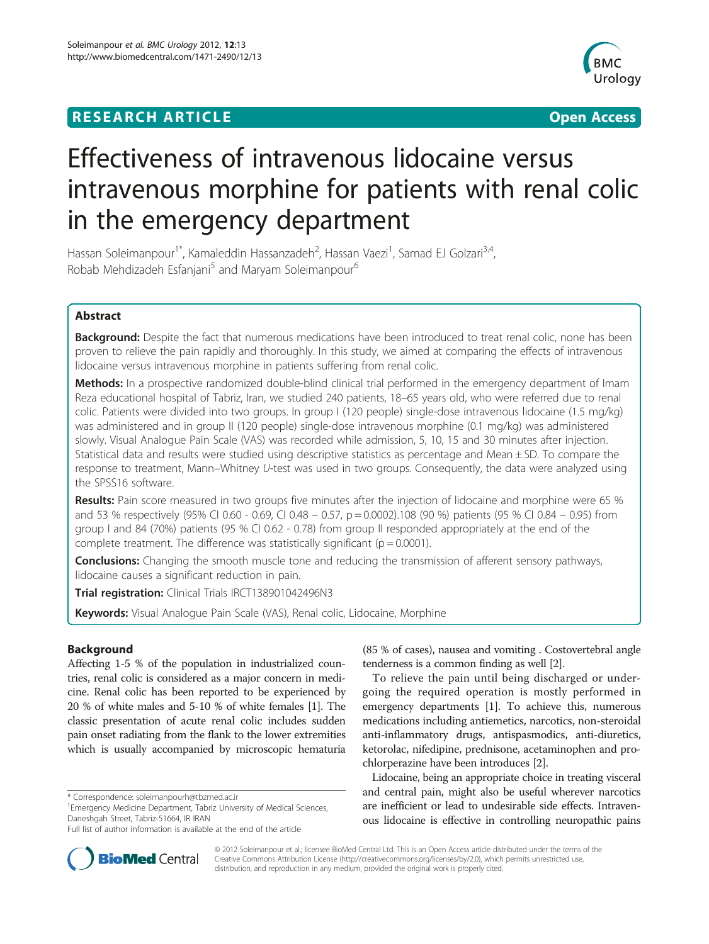## **RESEARCH ARTICLE Example 2014 12:30 THE Open Access**



# Effectiveness of intravenous lidocaine versus intravenous morphine for patients with renal colic in the emergency department

Hassan Soleimanpour<sup>1\*</sup>, Kamaleddin Hassanzadeh<sup>2</sup>, Hassan Vaezi<sup>1</sup>, Samad EJ Golzari<sup>3,4</sup>, Robab Mehdizadeh Esfanjani<sup>5</sup> and Maryam Soleimanpour<sup>6</sup>

## Abstract

Background: Despite the fact that numerous medications have been introduced to treat renal colic, none has been proven to relieve the pain rapidly and thoroughly. In this study, we aimed at comparing the effects of intravenous lidocaine versus intravenous morphine in patients suffering from renal colic.

Methods: In a prospective randomized double-blind clinical trial performed in the emergency department of Imam Reza educational hospital of Tabriz, Iran, we studied 240 patients, 18–65 years old, who were referred due to renal colic. Patients were divided into two groups. In group I (120 people) single-dose intravenous lidocaine (1.5 mg/kg) was administered and in group II (120 people) single-dose intravenous morphine (0.1 mg/kg) was administered slowly. Visual Analogue Pain Scale (VAS) was recorded while admission, 5, 10, 15 and 30 minutes after injection. Statistical data and results were studied using descriptive statistics as percentage and Mean ± SD. To compare the response to treatment, Mann–Whitney U-test was used in two groups. Consequently, the data were analyzed using the SPSS16 software.

Results: Pain score measured in two groups five minutes after the injection of lidocaine and morphine were 65 % and 53 % respectively (95% CI 0.60 - 0.69, CI 0.48 – 0.57, p = 0.0002).108 (90 %) patients (95 % CI 0.84 – 0.95) from group I and 84 (70%) patients (95 % CI 0.62 - 0.78) from group II responded appropriately at the end of the complete treatment. The difference was statistically significant ( $p = 0.0001$ ).

**Conclusions:** Changing the smooth muscle tone and reducing the transmission of afferent sensory pathways, lidocaine causes a significant reduction in pain.

Trial registration: Clinical Trials IRCT138901042496N3

Keywords: Visual Analogue Pain Scale (VAS), Renal colic, Lidocaine, Morphine

## Background

Affecting 1-5 % of the population in industrialized countries, renal colic is considered as a major concern in medicine. Renal colic has been reported to be experienced by 20 % of white males and 5-10 % of white females [[1](#page-4-0)]. The classic presentation of acute renal colic includes sudden pain onset radiating from the flank to the lower extremities which is usually accompanied by microscopic hematuria

\* Correspondence: [soleimanpourh@tbzmed.ac.ir](mailto:soleimanpourh@tbzmed.ac.ir) <sup>1</sup>

(85 % of cases), nausea and vomiting . Costovertebral angle tenderness is a common finding as well [[2\]](#page-4-0).

To relieve the pain until being discharged or undergoing the required operation is mostly performed in emergency departments [[1](#page-4-0)]. To achieve this, numerous medications including antiemetics, narcotics, non-steroidal anti-inflammatory drugs, antispasmodics, anti-diuretics, ketorolac, nifedipine, prednisone, acetaminophen and prochlorperazine have been introduces [[2\]](#page-4-0).

Lidocaine, being an appropriate choice in treating visceral and central pain, might also be useful wherever narcotics are inefficient or lead to undesirable side effects. Intravenous lidocaine is effective in controlling neuropathic pains



© 2012 Soleimanpour et al.; licensee BioMed Central Ltd. This is an Open Access article distributed under the terms of the Creative Commons Attribution License (http://creativecommons.org/licenses/by/2.0), which permits unrestricted use, distribution, and reproduction in any medium, provided the original work is properly cited.

<sup>&</sup>lt;sup>1</sup> Emergency Medicine Department, Tabriz University of Medical Sciences, Daneshgah Street, Tabriz-51664, IR IRAN

Full list of author information is available at the end of the article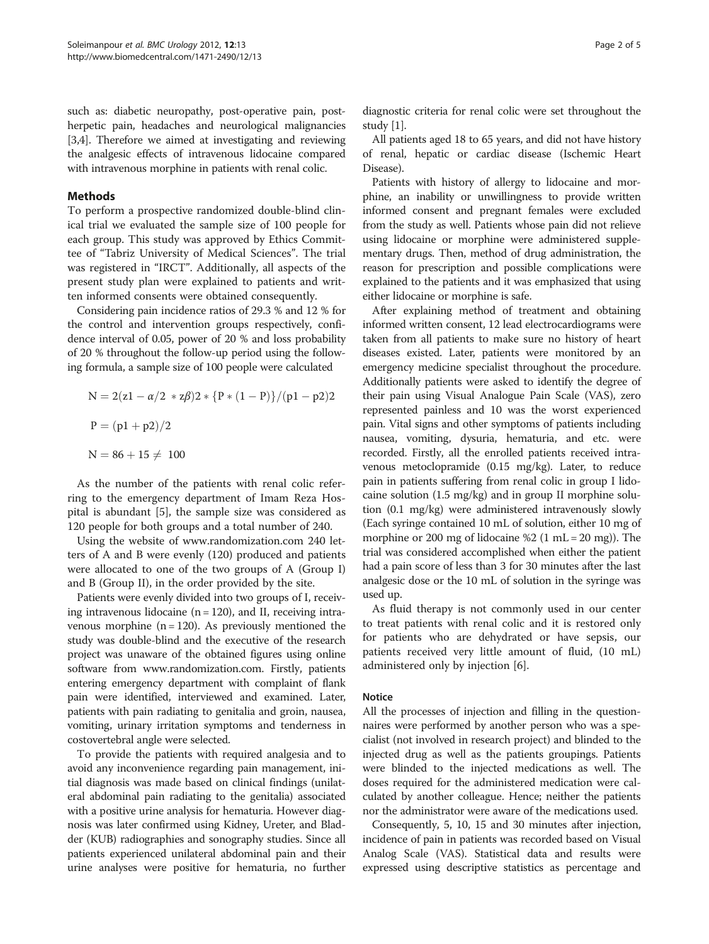such as: diabetic neuropathy, post-operative pain, postherpetic pain, headaches and neurological malignancies [[3,4](#page-4-0)]. Therefore we aimed at investigating and reviewing the analgesic effects of intravenous lidocaine compared with intravenous morphine in patients with renal colic.

### Methods

To perform a prospective randomized double-blind clinical trial we evaluated the sample size of 100 people for each group. This study was approved by Ethics Committee of "Tabriz University of Medical Sciences". The trial was registered in "IRCT". Additionally, all aspects of the present study plan were explained to patients and written informed consents were obtained consequently.

Considering pain incidence ratios of 29.3 % and 12 % for the control and intervention groups respectively, confidence interval of 0.05, power of 20 % and loss probability of 20 % throughout the follow-up period using the following formula, a sample size of 100 people were calculated

$$
N = 2(z1 - \alpha/2 * z\beta)2 * {P * (1 - P)}/(p1 - p2)2
$$
  
\n
$$
P = (p1 + p2)/2
$$
  
\n
$$
N = 86 + 15 \neq 100
$$

As the number of the patients with renal colic referring to the emergency department of Imam Reza Hospital is abundant [[5\]](#page-4-0), the sample size was considered as 120 people for both groups and a total number of 240.

Using the website of [www.randomization.com](http://www.randomization.com) 240 letters of A and B were evenly (120) produced and patients were allocated to one of the two groups of A (Group I) and B (Group II), in the order provided by the site.

Patients were evenly divided into two groups of I, receiving intravenous lidocaine  $(n = 120)$ , and II, receiving intravenous morphine  $(n = 120)$ . As previously mentioned the study was double-blind and the executive of the research project was unaware of the obtained figures using online software from [www.randomization.com.](http://www.randomization.com) Firstly, patients entering emergency department with complaint of flank pain were identified, interviewed and examined. Later, patients with pain radiating to genitalia and groin, nausea, vomiting, urinary irritation symptoms and tenderness in costovertebral angle were selected.

To provide the patients with required analgesia and to avoid any inconvenience regarding pain management, initial diagnosis was made based on clinical findings (unilateral abdominal pain radiating to the genitalia) associated with a positive urine analysis for hematuria. However diagnosis was later confirmed using Kidney, Ureter, and Bladder (KUB) radiographies and sonography studies. Since all patients experienced unilateral abdominal pain and their urine analyses were positive for hematuria, no further

diagnostic criteria for renal colic were set throughout the study [[1](#page-4-0)].

All patients aged 18 to 65 years, and did not have history of renal, hepatic or cardiac disease (Ischemic Heart Disease).

Patients with history of allergy to lidocaine and morphine, an inability or unwillingness to provide written informed consent and pregnant females were excluded from the study as well. Patients whose pain did not relieve using lidocaine or morphine were administered supplementary drugs. Then, method of drug administration, the reason for prescription and possible complications were explained to the patients and it was emphasized that using either lidocaine or morphine is safe.

After explaining method of treatment and obtaining informed written consent, 12 lead electrocardiograms were taken from all patients to make sure no history of heart diseases existed. Later, patients were monitored by an emergency medicine specialist throughout the procedure. Additionally patients were asked to identify the degree of their pain using Visual Analogue Pain Scale (VAS), zero represented painless and 10 was the worst experienced pain. Vital signs and other symptoms of patients including nausea, vomiting, dysuria, hematuria, and etc. were recorded. Firstly, all the enrolled patients received intravenous metoclopramide (0.15 mg/kg). Later, to reduce pain in patients suffering from renal colic in group I lidocaine solution (1.5 mg/kg) and in group II morphine solution (0.1 mg/kg) were administered intravenously slowly (Each syringe contained 10 mL of solution, either 10 mg of morphine or 200 mg of lidocaine %2 (1 mL = 20 mg)). The trial was considered accomplished when either the patient had a pain score of less than 3 for 30 minutes after the last analgesic dose or the 10 mL of solution in the syringe was used up.

As fluid therapy is not commonly used in our center to treat patients with renal colic and it is restored only for patients who are dehydrated or have sepsis, our patients received very little amount of fluid, (10 mL) administered only by injection [\[6](#page-4-0)].

#### Notice

All the processes of injection and filling in the questionnaires were performed by another person who was a specialist (not involved in research project) and blinded to the injected drug as well as the patients groupings. Patients were blinded to the injected medications as well. The doses required for the administered medication were calculated by another colleague. Hence; neither the patients nor the administrator were aware of the medications used.

Consequently, 5, 10, 15 and 30 minutes after injection, incidence of pain in patients was recorded based on Visual Analog Scale (VAS). Statistical data and results were expressed using descriptive statistics as percentage and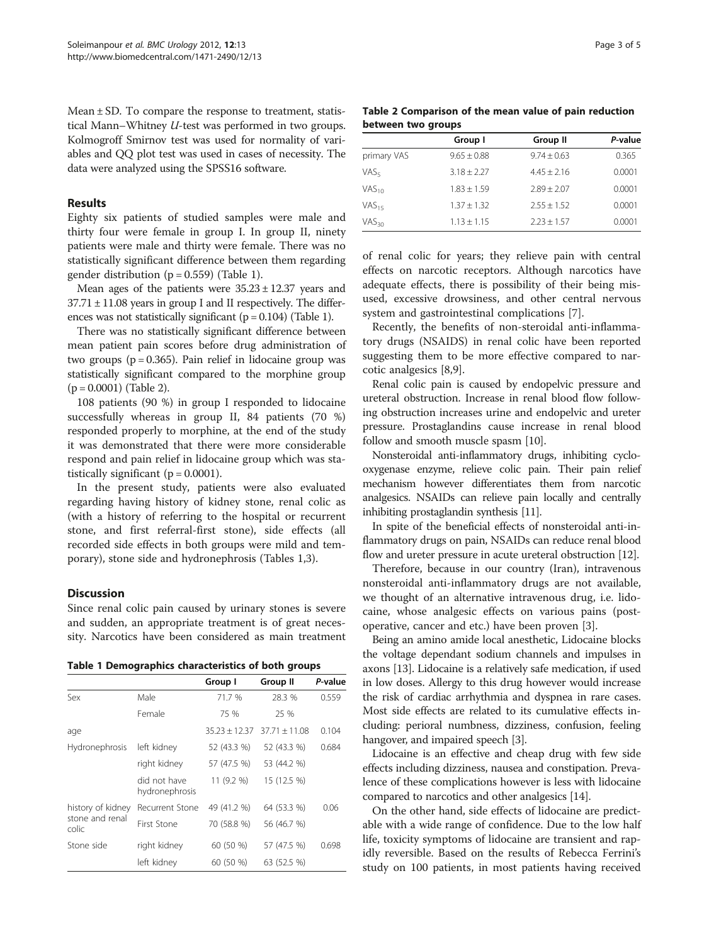Mean  $\pm$  SD. To compare the response to treatment, statistical Mann–Whitney U-test was performed in two groups. Kolmogroff Smirnov test was used for normality of variables and QQ plot test was used in cases of necessity. The data were analyzed using the SPSS16 software.

#### Results

Eighty six patients of studied samples were male and thirty four were female in group I. In group II, ninety patients were male and thirty were female. There was no statistically significant difference between them regarding gender distribution ( $p = 0.559$ ) (Table 1).

Mean ages of the patients were  $35.23 \pm 12.37$  years and  $37.71 \pm 11.08$  years in group I and II respectively. The differences was not statistically significant  $(p = 0.104)$  (Table 1).

There was no statistically significant difference between mean patient pain scores before drug administration of two groups ( $p = 0.365$ ). Pain relief in lidocaine group was statistically significant compared to the morphine group (p = 0.0001) (Table 2).

108 patients (90 %) in group I responded to lidocaine successfully whereas in group II, 84 patients (70 %) responded properly to morphine, at the end of the study it was demonstrated that there were more considerable respond and pain relief in lidocaine group which was statistically significant ( $p = 0.0001$ ).

In the present study, patients were also evaluated regarding having history of kidney stone, renal colic as (with a history of referring to the hospital or recurrent stone, and first referral-first stone), side effects (all recorded side effects in both groups were mild and temporary), stone side and hydronephrosis (Tables 1[,3\)](#page-3-0).

#### **Discussion**

Since renal colic pain caused by urinary stones is severe and sudden, an appropriate treatment is of great necessity. Narcotics have been considered as main treatment

|  | Table 1 Demographics characteristics of both groups |  |  |  |
|--|-----------------------------------------------------|--|--|--|
|--|-----------------------------------------------------|--|--|--|

|                          |                                | Group I         | Group II           | P-value |
|--------------------------|--------------------------------|-----------------|--------------------|---------|
| Sex                      | Male                           | 71.7 %          | 28.3 %             | 0.559   |
|                          | Female                         | 75 %            | 25 %               |         |
| age                      |                                | $35.23 + 12.37$ | $.37.71 \pm 11.08$ | 0.104   |
| Hydronephrosis           | left kidney                    | 52 (43.3 %)     | 52 (43.3 %)        | 0.684   |
|                          | right kidney                   | 57 (47.5 %)     | 53 (44.2 %)        |         |
|                          | did not have<br>hydronephrosis | 11 (9.2 %)      | 15 (12.5 %)        |         |
| history of kidney        | Recurrent Stone                | 49 (41.2 %)     | 64 (53.3 %)        | 0.06    |
| stone and renal<br>colic | <b>First Stone</b>             | 70 (58.8 %)     | 56 (46.7 %)        |         |
| Stone side               | right kidney                   | 60 (50 %)       | 57 (47.5 %)        | 0.698   |
|                          | left kidney                    | 60 (50 %)       | 63 (52.5 %)        |         |

Table 2 Comparison of the mean value of pain reduction between two groups

|                   | Group I         | <b>Group II</b> | P-value |
|-------------------|-----------------|-----------------|---------|
| primary VAS       | $9.65 \pm 0.88$ | $9.74 \pm 0.63$ | 0.365   |
| VAS <sub>5</sub>  | $3.18 + 2.27$   | $4.45 + 2.16$   | 0.0001  |
| $VAS_{10}$        | $1.83 + 1.59$   | $7.89 + 7.07$   | 0.0001  |
| $VAS_{15}$        | $1.37 + 1.32$   | $2.55 + 1.52$   | 0.0001  |
| VAS <sub>30</sub> | $1.13 \pm 1.15$ | $2.23 + 1.57$   | 0.0001  |

of renal colic for years; they relieve pain with central effects on narcotic receptors. Although narcotics have adequate effects, there is possibility of their being misused, excessive drowsiness, and other central nervous system and gastrointestinal complications [[7\]](#page-4-0).

Recently, the benefits of non-steroidal anti-inflammatory drugs (NSAIDS) in renal colic have been reported suggesting them to be more effective compared to narcotic analgesics [\[8,9](#page-4-0)].

Renal colic pain is caused by endopelvic pressure and ureteral obstruction. Increase in renal blood flow following obstruction increases urine and endopelvic and ureter pressure. Prostaglandins cause increase in renal blood follow and smooth muscle spasm [\[10\]](#page-4-0).

Nonsteroidal anti-inflammatory drugs, inhibiting cyclooxygenase enzyme, relieve colic pain. Their pain relief mechanism however differentiates them from narcotic analgesics. NSAIDs can relieve pain locally and centrally inhibiting prostaglandin synthesis [\[11](#page-4-0)].

In spite of the beneficial effects of nonsteroidal anti-inflammatory drugs on pain, NSAIDs can reduce renal blood flow and ureter pressure in acute ureteral obstruction [\[12](#page-4-0)].

Therefore, because in our country (Iran), intravenous nonsteroidal anti-inflammatory drugs are not available, we thought of an alternative intravenous drug, i.e. lidocaine, whose analgesic effects on various pains (postoperative, cancer and etc.) have been proven [\[3](#page-4-0)].

Being an amino amide local anesthetic, Lidocaine blocks the voltage dependant sodium channels and impulses in axons [\[13](#page-4-0)]. Lidocaine is a relatively safe medication, if used in low doses. Allergy to this drug however would increase the risk of cardiac arrhythmia and dyspnea in rare cases. Most side effects are related to its cumulative effects including: perioral numbness, dizziness, confusion, feeling hangover, and impaired speech [[3\]](#page-4-0).

Lidocaine is an effective and cheap drug with few side effects including dizziness, nausea and constipation. Prevalence of these complications however is less with lidocaine compared to narcotics and other analgesics [[14](#page-4-0)].

On the other hand, side effects of lidocaine are predictable with a wide range of confidence. Due to the low half life, toxicity symptoms of lidocaine are transient and rapidly reversible. Based on the results of Rebecca Ferrini's study on 100 patients, in most patients having received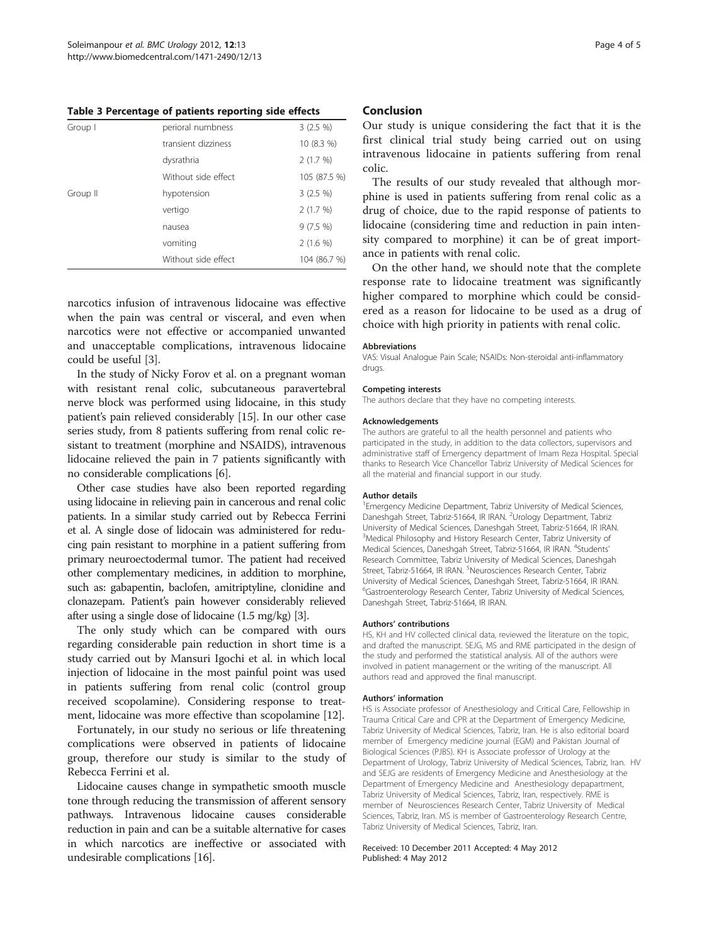<span id="page-3-0"></span>Table 3 Percentage of patients reporting side effects

| Group I  | perioral numbness   | $3(2.5\%)$   |
|----------|---------------------|--------------|
|          | transient dizziness | 10 (8.3 %)   |
|          | dysrathria          | 2(1.7%)      |
|          | Without side effect | 105 (87.5 %) |
| Group II | hypotension         | 3(2.5%       |
|          | vertigo             | 2(1.7%)      |
|          | nausea              | $9(7.5\%)$   |
|          | vomiting            | $2(1.6\%)$   |
|          | Without side effect | 104 (86.7 %) |

narcotics infusion of intravenous lidocaine was effective when the pain was central or visceral, and even when narcotics were not effective or accompanied unwanted and unacceptable complications, intravenous lidocaine could be useful [[3\]](#page-4-0).

In the study of Nicky Forov et al. on a pregnant woman with resistant renal colic, subcutaneous paravertebral nerve block was performed using lidocaine, in this study patient's pain relieved considerably [[15](#page-4-0)]. In our other case series study, from 8 patients suffering from renal colic resistant to treatment (morphine and NSAIDS), intravenous lidocaine relieved the pain in 7 patients significantly with no considerable complications [\[6\]](#page-4-0).

Other case studies have also been reported regarding using lidocaine in relieving pain in cancerous and renal colic patients. In a similar study carried out by Rebecca Ferrini et al. A single dose of lidocain was administered for reducing pain resistant to morphine in a patient suffering from primary neuroectodermal tumor. The patient had received other complementary medicines, in addition to morphine, such as: gabapentin, baclofen, amitriptyline, clonidine and clonazepam. Patient's pain however considerably relieved after using a single dose of lidocaine (1.5 mg/kg) [\[3\]](#page-4-0).

The only study which can be compared with ours regarding considerable pain reduction in short time is a study carried out by Mansuri Igochi et al. in which local injection of lidocaine in the most painful point was used in patients suffering from renal colic (control group received scopolamine). Considering response to treatment, lidocaine was more effective than scopolamine [[12](#page-4-0)].

Fortunately, in our study no serious or life threatening complications were observed in patients of lidocaine group, therefore our study is similar to the study of Rebecca Ferrini et al.

Lidocaine causes change in sympathetic smooth muscle tone through reducing the transmission of afferent sensory pathways. Intravenous lidocaine causes considerable reduction in pain and can be a suitable alternative for cases in which narcotics are ineffective or associated with undesirable complications [[16](#page-4-0)].

#### Conclusion

Our study is unique considering the fact that it is the first clinical trial study being carried out on using intravenous lidocaine in patients suffering from renal colic.

The results of our study revealed that although morphine is used in patients suffering from renal colic as a drug of choice, due to the rapid response of patients to lidocaine (considering time and reduction in pain intensity compared to morphine) it can be of great importance in patients with renal colic.

On the other hand, we should note that the complete response rate to lidocaine treatment was significantly higher compared to morphine which could be considered as a reason for lidocaine to be used as a drug of choice with high priority in patients with renal colic.

#### Abbreviations

VAS: Visual Analogue Pain Scale; NSAIDs: Non-steroidal anti-inflammatory drugs.

#### Competing interests

The authors declare that they have no competing interests.

#### Acknowledgements

The authors are grateful to all the health personnel and patients who participated in the study, in addition to the data collectors, supervisors and administrative staff of Emergency department of Imam Reza Hospital. Special thanks to Research Vice Chancellor Tabriz University of Medical Sciences for all the material and financial support in our study.

#### Author details

<sup>1</sup> Emergency Medicine Department, Tabriz University of Medical Sciences, Daneshgah Street, Tabriz-51664, IR IRAN. <sup>2</sup>Urology Department, Tabriz University of Medical Sciences, Daneshgah Street, Tabriz-51664, IR IRAN. <sup>3</sup>Medical Philosophy and History Research Center, Tabriz University of Medical Sciences, Daneshgah Street, Tabriz-51664, IR IRAN. <sup>4</sup>Students Research Committee, Tabriz University of Medical Sciences, Daneshgah Street, Tabriz-51664, IR IRAN. <sup>5</sup>Neurosciences Research Center, Tabriz University of Medical Sciences, Daneshgah Street, Tabriz-51664, IR IRAN. <sup>6</sup>Gastroenterology Research Center, Tabriz University of Medical Sciences, Daneshgah Street, Tabriz-51664, IR IRAN.

#### Authors' contributions

HS, KH and HV collected clinical data, reviewed the literature on the topic, and drafted the manuscript. SEJG, MS and RME participated in the design of the study and performed the statistical analysis. All of the authors were involved in patient management or the writing of the manuscript. All authors read and approved the final manuscript.

#### Authors' information

HS is Associate professor of Anesthesiology and Critical Care, Fellowship in Trauma Critical Care and CPR at the Department of Emergency Medicine, Tabriz University of Medical Sciences, Tabriz, Iran. He is also editorial board member of Emergency medicine journal (EGM) and Pakistan Journal of Biological Sciences (PJBS). KH is Associate professor of Urology at the Department of Urology, Tabriz University of Medical Sciences, Tabriz, Iran. HV and SEJG are residents of Emergency Medicine and Anesthesiology at the Department of Emergency Medicine and Anesthesiology depapartment, Tabriz University of Medical Sciences, Tabriz, Iran, respectively. RME is member of Neurosciences Research Center, Tabriz University of Medical Sciences, Tabriz, Iran. MS is member of Gastroenterology Research Centre, Tabriz University of Medical Sciences, Tabriz, Iran.

#### Received: 10 December 2011 Accepted: 4 May 2012 Published: 4 May 2012